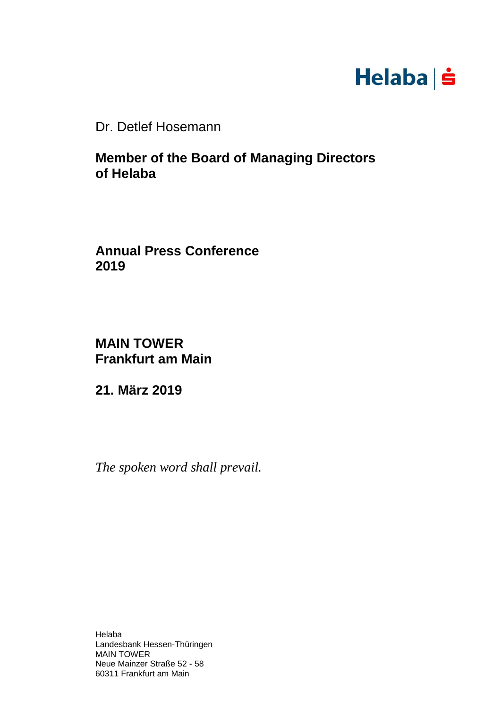

Dr. Detlef Hosemann

**Member of the Board of Managing Directors of Helaba**

**Annual Press Conference 2019**

**MAIN TOWER Frankfurt am Main**

**21. März 2019**

*The spoken word shall prevail.*

Helaba Landesbank Hessen-Thüringen MAIN TOWER Neue Mainzer Straße 52 - 58 60311 Frankfurt am Main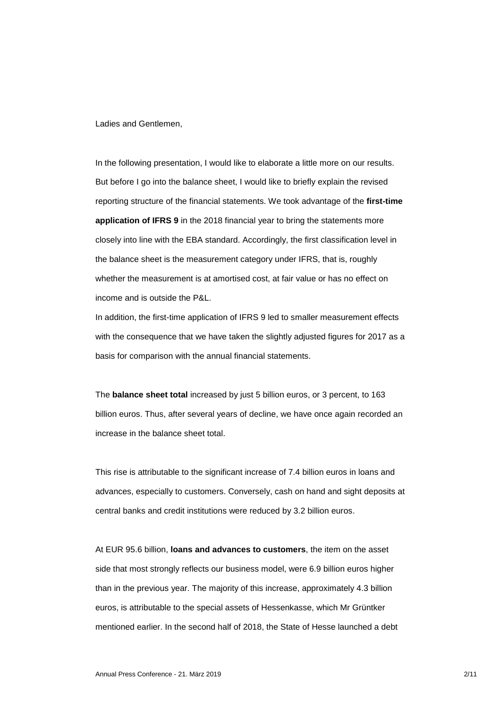Ladies and Gentlemen,

In the following presentation, I would like to elaborate a little more on our results. But before I go into the balance sheet, I would like to briefly explain the revised reporting structure of the financial statements. We took advantage of the **first-time application of IFRS 9** in the 2018 financial year to bring the statements more closely into line with the EBA standard. Accordingly, the first classification level in the balance sheet is the measurement category under IFRS, that is, roughly whether the measurement is at amortised cost, at fair value or has no effect on income and is outside the P&L.

In addition, the first-time application of IFRS 9 led to smaller measurement effects with the consequence that we have taken the slightly adjusted figures for 2017 as a basis for comparison with the annual financial statements.

The **balance sheet total** increased by just 5 billion euros, or 3 percent, to 163 billion euros. Thus, after several years of decline, we have once again recorded an increase in the balance sheet total.

This rise is attributable to the significant increase of 7.4 billion euros in loans and advances, especially to customers. Conversely, cash on hand and sight deposits at central banks and credit institutions were reduced by 3.2 billion euros.

At EUR 95.6 billion, **loans and advances to customers**, the item on the asset side that most strongly reflects our business model, were 6.9 billion euros higher than in the previous year. The majority of this increase, approximately 4.3 billion euros, is attributable to the special assets of Hessenkasse, which Mr Grüntker mentioned earlier. In the second half of 2018, the State of Hesse launched a debt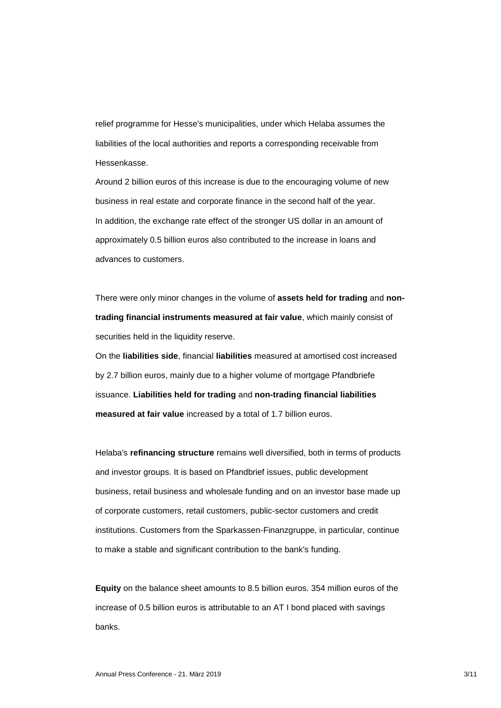relief programme for Hesse's municipalities, under which Helaba assumes the liabilities of the local authorities and reports a corresponding receivable from Hessenkasse.

Around 2 billion euros of this increase is due to the encouraging volume of new business in real estate and corporate finance in the second half of the year. In addition, the exchange rate effect of the stronger US dollar in an amount of approximately 0.5 billion euros also contributed to the increase in loans and advances to customers.

There were only minor changes in the volume of **assets held for trading** and **nontrading financial instruments measured at fair value**, which mainly consist of securities held in the liquidity reserve.

On the **liabilities side**, financial **liabilities** measured at amortised cost increased by 2.7 billion euros, mainly due to a higher volume of mortgage Pfandbriefe issuance. **Liabilities held for trading** and **non-trading financial liabilities measured at fair value** increased by a total of 1.7 billion euros.

Helaba's **refinancing structure** remains well diversified, both in terms of products and investor groups. It is based on Pfandbrief issues, public development business, retail business and wholesale funding and on an investor base made up of corporate customers, retail customers, public-sector customers and credit institutions. Customers from the Sparkassen-Finanzgruppe, in particular, continue to make a stable and significant contribution to the bank's funding.

**Equity** on the balance sheet amounts to 8.5 billion euros. 354 million euros of the increase of 0.5 billion euros is attributable to an AT I bond placed with savings banks.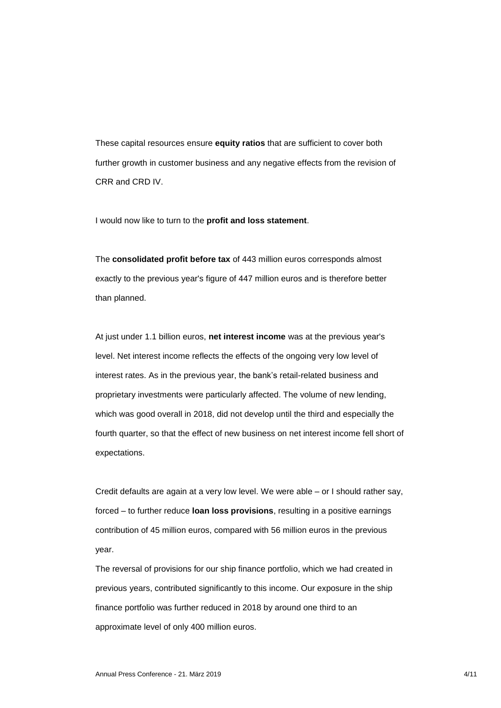These capital resources ensure **equity ratios** that are sufficient to cover both further growth in customer business and any negative effects from the revision of CRR and CRD IV.

I would now like to turn to the **profit and loss statement**.

The **consolidated profit before tax** of 443 million euros corresponds almost exactly to the previous year's figure of 447 million euros and is therefore better than planned.

At just under 1.1 billion euros, **net interest income** was at the previous year's level. Net interest income reflects the effects of the ongoing very low level of interest rates. As in the previous year, the bank's retail-related business and proprietary investments were particularly affected. The volume of new lending, which was good overall in 2018, did not develop until the third and especially the fourth quarter, so that the effect of new business on net interest income fell short of expectations.

Credit defaults are again at a very low level. We were able – or I should rather say, forced – to further reduce **loan loss provisions**, resulting in a positive earnings contribution of 45 million euros, compared with 56 million euros in the previous year.

The reversal of provisions for our ship finance portfolio, which we had created in previous years, contributed significantly to this income. Our exposure in the ship finance portfolio was further reduced in 2018 by around one third to an approximate level of only 400 million euros.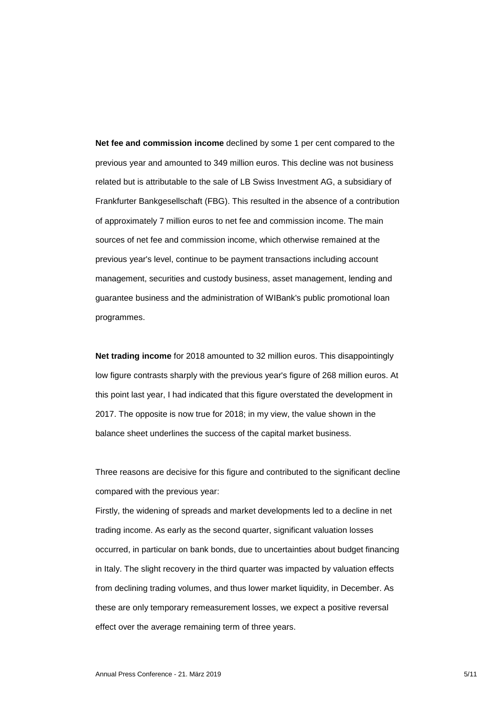**Net fee and commission income** declined by some 1 per cent compared to the previous year and amounted to 349 million euros. This decline was not business related but is attributable to the sale of LB Swiss Investment AG, a subsidiary of Frankfurter Bankgesellschaft (FBG). This resulted in the absence of a contribution of approximately 7 million euros to net fee and commission income. The main sources of net fee and commission income, which otherwise remained at the previous year's level, continue to be payment transactions including account management, securities and custody business, asset management, lending and guarantee business and the administration of WIBank's public promotional loan programmes.

**Net trading income** for 2018 amounted to 32 million euros. This disappointingly low figure contrasts sharply with the previous year's figure of 268 million euros. At this point last year, I had indicated that this figure overstated the development in 2017. The opposite is now true for 2018; in my view, the value shown in the balance sheet underlines the success of the capital market business.

Three reasons are decisive for this figure and contributed to the significant decline compared with the previous year:

Firstly, the widening of spreads and market developments led to a decline in net trading income. As early as the second quarter, significant valuation losses occurred, in particular on bank bonds, due to uncertainties about budget financing in Italy. The slight recovery in the third quarter was impacted by valuation effects from declining trading volumes, and thus lower market liquidity, in December. As these are only temporary remeasurement losses, we expect a positive reversal effect over the average remaining term of three years.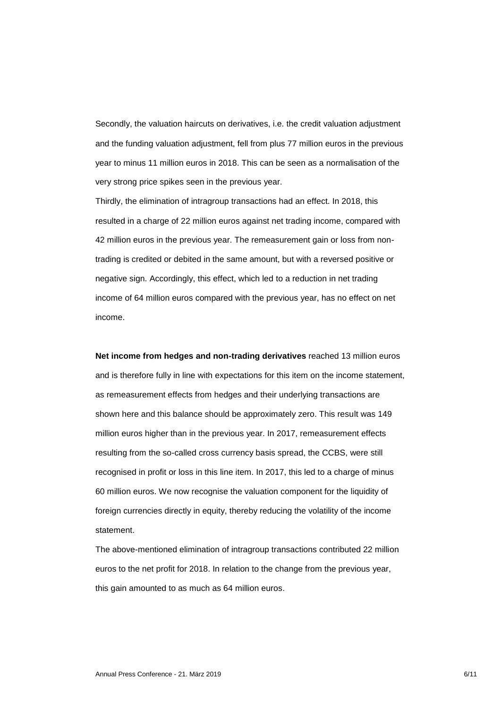Secondly, the valuation haircuts on derivatives, i.e. the credit valuation adjustment and the funding valuation adjustment, fell from plus 77 million euros in the previous year to minus 11 million euros in 2018. This can be seen as a normalisation of the very strong price spikes seen in the previous year.

Thirdly, the elimination of intragroup transactions had an effect. In 2018, this resulted in a charge of 22 million euros against net trading income, compared with 42 million euros in the previous year. The remeasurement gain or loss from nontrading is credited or debited in the same amount, but with a reversed positive or negative sign. Accordingly, this effect, which led to a reduction in net trading income of 64 million euros compared with the previous year, has no effect on net income.

**Net income from hedges and non-trading derivatives** reached 13 million euros and is therefore fully in line with expectations for this item on the income statement, as remeasurement effects from hedges and their underlying transactions are shown here and this balance should be approximately zero. This result was 149 million euros higher than in the previous year. In 2017, remeasurement effects resulting from the so-called cross currency basis spread, the CCBS, were still recognised in profit or loss in this line item. In 2017, this led to a charge of minus 60 million euros. We now recognise the valuation component for the liquidity of foreign currencies directly in equity, thereby reducing the volatility of the income statement.

The above-mentioned elimination of intragroup transactions contributed 22 million euros to the net profit for 2018. In relation to the change from the previous year, this gain amounted to as much as 64 million euros.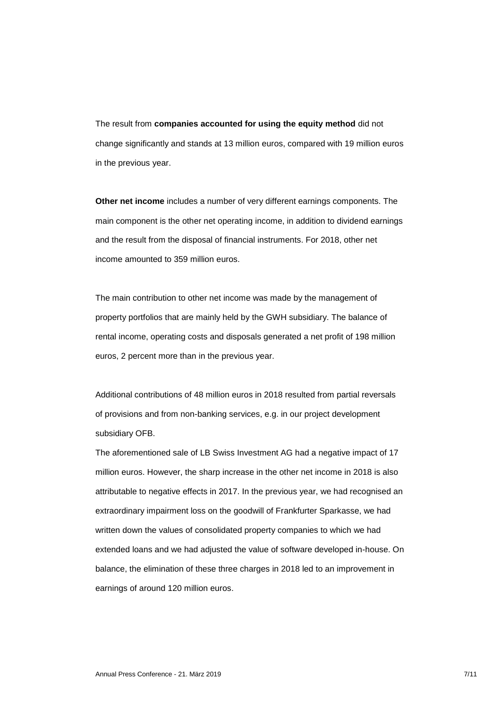The result from **companies accounted for using the equity method** did not change significantly and stands at 13 million euros, compared with 19 million euros in the previous year.

**Other net income** includes a number of very different earnings components. The main component is the other net operating income, in addition to dividend earnings and the result from the disposal of financial instruments. For 2018, other net income amounted to 359 million euros.

The main contribution to other net income was made by the management of property portfolios that are mainly held by the GWH subsidiary. The balance of rental income, operating costs and disposals generated a net profit of 198 million euros, 2 percent more than in the previous year.

Additional contributions of 48 million euros in 2018 resulted from partial reversals of provisions and from non-banking services, e.g. in our project development subsidiary OFB.

The aforementioned sale of LB Swiss Investment AG had a negative impact of 17 million euros. However, the sharp increase in the other net income in 2018 is also attributable to negative effects in 2017. In the previous year, we had recognised an extraordinary impairment loss on the goodwill of Frankfurter Sparkasse, we had written down the values of consolidated property companies to which we had extended loans and we had adjusted the value of software developed in-house. On balance, the elimination of these three charges in 2018 led to an improvement in earnings of around 120 million euros.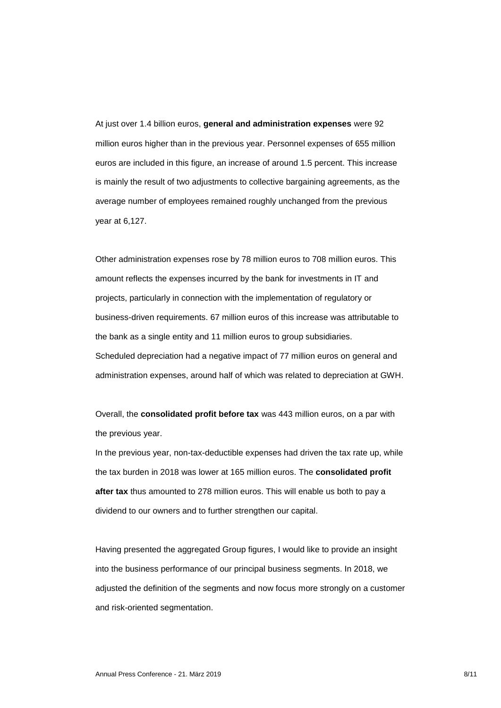At just over 1.4 billion euros, **general and administration expenses** were 92 million euros higher than in the previous year. Personnel expenses of 655 million euros are included in this figure, an increase of around 1.5 percent. This increase is mainly the result of two adjustments to collective bargaining agreements, as the average number of employees remained roughly unchanged from the previous year at 6,127.

Other administration expenses rose by 78 million euros to 708 million euros. This amount reflects the expenses incurred by the bank for investments in IT and projects, particularly in connection with the implementation of regulatory or business-driven requirements. 67 million euros of this increase was attributable to the bank as a single entity and 11 million euros to group subsidiaries. Scheduled depreciation had a negative impact of 77 million euros on general and administration expenses, around half of which was related to depreciation at GWH.

Overall, the **consolidated profit before tax** was 443 million euros, on a par with the previous year.

In the previous year, non-tax-deductible expenses had driven the tax rate up, while the tax burden in 2018 was lower at 165 million euros. The **consolidated profit after tax** thus amounted to 278 million euros. This will enable us both to pay a dividend to our owners and to further strengthen our capital.

Having presented the aggregated Group figures, I would like to provide an insight into the business performance of our principal business segments. In 2018, we adjusted the definition of the segments and now focus more strongly on a customer and risk-oriented segmentation.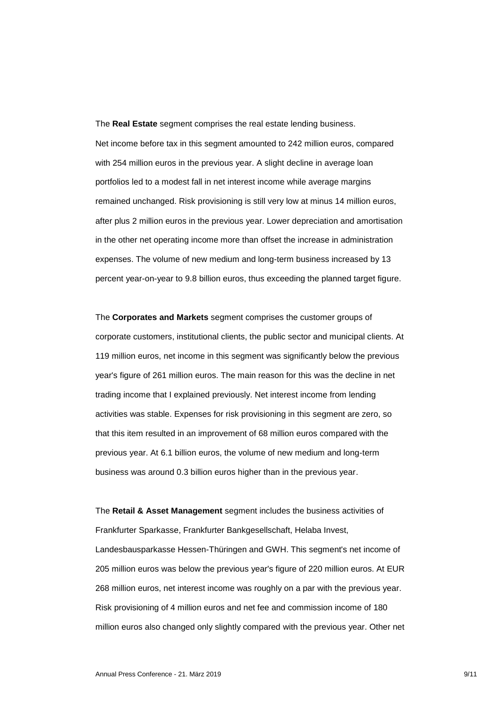The **Real Estate** segment comprises the real estate lending business. Net income before tax in this segment amounted to 242 million euros, compared with 254 million euros in the previous year. A slight decline in average loan portfolios led to a modest fall in net interest income while average margins remained unchanged. Risk provisioning is still very low at minus 14 million euros, after plus 2 million euros in the previous year. Lower depreciation and amortisation in the other net operating income more than offset the increase in administration expenses. The volume of new medium and long-term business increased by 13 percent year-on-year to 9.8 billion euros, thus exceeding the planned target figure.

The **Corporates and Markets** segment comprises the customer groups of corporate customers, institutional clients, the public sector and municipal clients. At 119 million euros, net income in this segment was significantly below the previous year's figure of 261 million euros. The main reason for this was the decline in net trading income that I explained previously. Net interest income from lending activities was stable. Expenses for risk provisioning in this segment are zero, so that this item resulted in an improvement of 68 million euros compared with the previous year. At 6.1 billion euros, the volume of new medium and long-term business was around 0.3 billion euros higher than in the previous year.

The **Retail & Asset Management** segment includes the business activities of Frankfurter Sparkasse, Frankfurter Bankgesellschaft, Helaba Invest, Landesbausparkasse Hessen-Thüringen and GWH. This segment's net income of 205 million euros was below the previous year's figure of 220 million euros. At EUR 268 million euros, net interest income was roughly on a par with the previous year. Risk provisioning of 4 million euros and net fee and commission income of 180 million euros also changed only slightly compared with the previous year. Other net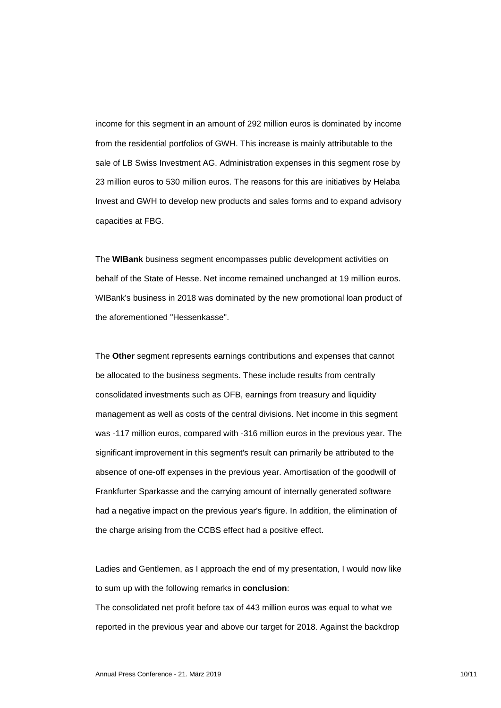income for this segment in an amount of 292 million euros is dominated by income from the residential portfolios of GWH. This increase is mainly attributable to the sale of LB Swiss Investment AG. Administration expenses in this segment rose by 23 million euros to 530 million euros. The reasons for this are initiatives by Helaba Invest and GWH to develop new products and sales forms and to expand advisory capacities at FBG.

The **WIBank** business segment encompasses public development activities on behalf of the State of Hesse. Net income remained unchanged at 19 million euros. WIBank's business in 2018 was dominated by the new promotional loan product of the aforementioned "Hessenkasse".

The **Other** segment represents earnings contributions and expenses that cannot be allocated to the business segments. These include results from centrally consolidated investments such as OFB, earnings from treasury and liquidity management as well as costs of the central divisions. Net income in this segment was -117 million euros, compared with -316 million euros in the previous year. The significant improvement in this segment's result can primarily be attributed to the absence of one-off expenses in the previous year. Amortisation of the goodwill of Frankfurter Sparkasse and the carrying amount of internally generated software had a negative impact on the previous year's figure. In addition, the elimination of the charge arising from the CCBS effect had a positive effect.

Ladies and Gentlemen, as I approach the end of my presentation, I would now like to sum up with the following remarks in **conclusion**:

The consolidated net profit before tax of 443 million euros was equal to what we reported in the previous year and above our target for 2018. Against the backdrop